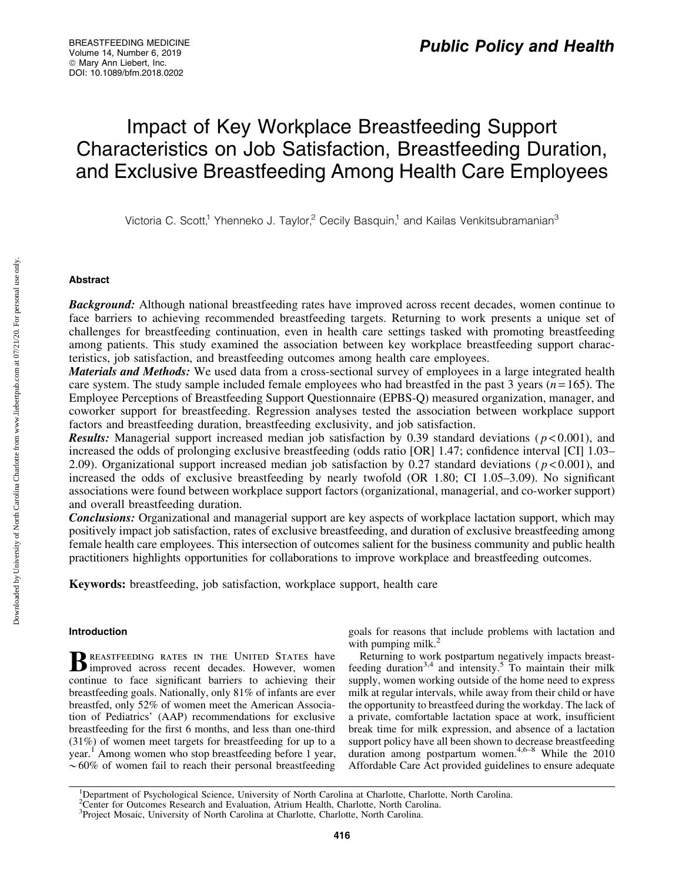# Impact of Key Workplace Breastfeeding Support Characteristics on Job Satisfaction, Breastfeeding Duration, and Exclusive Breastfeeding Among Health Care Employees

Victoria C. Scott,<sup>1</sup> Yhenneko J. Taylor,<sup>2</sup> Cecily Basquin,<sup>1</sup> and Kailas Venkitsubramanian<sup>3</sup>

# Abstract

**Background:** Although national breastfeeding rates have improved across recent decades, women continue to face barriers to achieving recommended breastfeeding targets. Returning to work presents a unique set of challenges for breastfeeding continuation, even in health care settings tasked with promoting breastfeeding among patients. This study examined the association between key workplace breastfeeding support characteristics, job satisfaction, and breastfeeding outcomes among health care employees.

**Materials and Methods:** We used data from a cross-sectional survey of employees in a large integrated health care system. The study sample included female employees who had breastfed in the past 3 years (*n* = 165). The Employee Perceptions of Breastfeeding Support Questionnaire (EPBS-Q) measured organization, manager, and coworker support for breastfeeding. Regression analyses tested the association between workplace support factors and breastfeeding duration, breastfeeding exclusivity, and job satisfaction.

**Results:** Managerial support increased median job satisfaction by 0.39 standard deviations ( $p$  < 0.001), and increased the odds of prolonging exclusive breastfeeding (odds ratio [OR] 1.47; confidence interval [CI] 1.03– 2.09). Organizational support increased median job satisfaction by 0.27 standard deviations ( $p < 0.001$ ), and increased the odds of exclusive breastfeeding by nearly twofold (OR 1.80; CI 1.05–3.09). No significant associations were found between workplace support factors (organizational, managerial, and co-worker support) and overall breastfeeding duration.

Conclusions: Organizational and managerial support are key aspects of workplace lactation support, which may positively impact job satisfaction, rates of exclusive breastfeeding, and duration of exclusive breastfeeding among female health care employees. This intersection of outcomes salient for the business community and public health practitioners highlights opportunities for collaborations to improve workplace and breastfeeding outcomes.

Keywords: breastfeeding, job satisfaction, workplace support, health care

# Introduction

BREASTFEEDING RATES IN THE UNITED STATES have improved across recent decades. However, women continue to face significant barriers to achieving their breastfeeding goals. Nationally, only 81% of infants are ever breastfed, only 52% of women meet the American Association of Pediatrics' (AAP) recommendations for exclusive breastfeeding for the first 6 months, and less than one-third (31%) of women meet targets for breastfeeding for up to a year.<sup>1</sup> Among women who stop breastfeeding before 1 year,  $\sim60\%$  of women fail to reach their personal breastfeeding goals for reasons that include problems with lactation and with pumping milk. $^{2}$ 

Returning to work postpartum negatively impacts breastfeeding duration<sup>3,4</sup> and intensity.<sup>5</sup> To maintain their milk supply, women working outside of the home need to express milk at regular intervals, while away from their child or have the opportunity to breastfeed during the workday. The lack of a private, comfortable lactation space at work, insufficient break time for milk expression, and absence of a lactation support policy have all been shown to decrease breastfeeding duration among postpartum women.<sup>4,6–8</sup> While the 2010 Affordable Care Act provided guidelines to ensure adequate

<sup>&</sup>lt;sup>1</sup>Department of Psychological Science, University of North Carolina at Charlotte, Charlotte, North Carolina.

<sup>&</sup>lt;sup>2</sup>Center for Outcomes Research and Evaluation, Atrium Health, Charlotte, North Carolina.<br><sup>3</sup>Project Mosaic, University of North Carolina at Charlotte, Charlotte, North Carolina.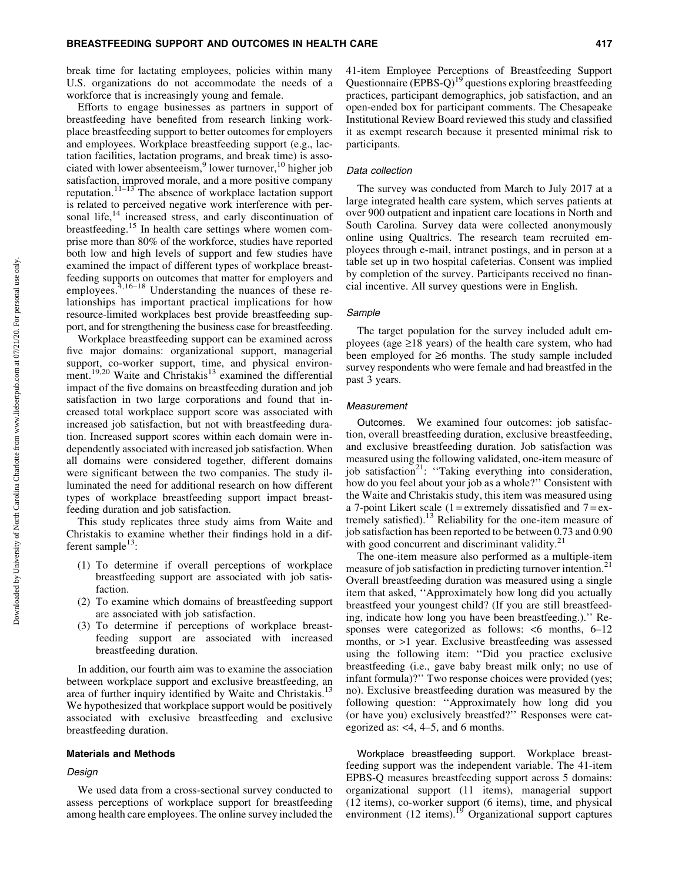break time for lactating employees, policies within many U.S. organizations do not accommodate the needs of a workforce that is increasingly young and female.

Efforts to engage businesses as partners in support of breastfeeding have benefited from research linking workplace breastfeeding support to better outcomes for employers and employees. Workplace breastfeeding support (e.g., lactation facilities, lactation programs, and break time) is associated with lower absenteeism, $9$  lower turnover, $10$  higher job satisfaction, improved morale, and a more positive company reputation.<sup> $11-13$ </sup> The absence of workplace lactation support is related to perceived negative work interference with personal life, $^{14}$  increased stress, and early discontinuation of breastfeeding.<sup>15</sup> In health care settings where women comprise more than 80% of the workforce, studies have reported both low and high levels of support and few studies have examined the impact of different types of workplace breastfeeding supports on outcomes that matter for employers and employees. $4,16-18$  Understanding the nuances of these relationships has important practical implications for how resource-limited workplaces best provide breastfeeding support, and for strengthening the business case for breastfeeding.

Workplace breastfeeding support can be examined across five major domains: organizational support, managerial support, co-worker support, time, and physical environment.<sup>19,20</sup> Waite and Christakis<sup>13</sup> examined the differential impact of the five domains on breastfeeding duration and job satisfaction in two large corporations and found that increased total workplace support score was associated with increased job satisfaction, but not with breastfeeding duration. Increased support scores within each domain were independently associated with increased job satisfaction. When all domains were considered together, different domains were significant between the two companies. The study illuminated the need for additional research on how different types of workplace breastfeeding support impact breastfeeding duration and job satisfaction.

This study replicates three study aims from Waite and Christakis to examine whether their findings hold in a different sample $^{13}$ :

- (1) To determine if overall perceptions of workplace breastfeeding support are associated with job satisfaction.
- (2) To examine which domains of breastfeeding support are associated with job satisfaction.
- (3) To determine if perceptions of workplace breastfeeding support are associated with increased breastfeeding duration.

In addition, our fourth aim was to examine the association between workplace support and exclusive breastfeeding, an area of further inquiry identified by Waite and Christakis.<sup>13</sup> We hypothesized that workplace support would be positively associated with exclusive breastfeeding and exclusive breastfeeding duration.

#### Materials and Methods

#### Design

We used data from a cross-sectional survey conducted to assess perceptions of workplace support for breastfeeding among health care employees. The online survey included the 41-item Employee Perceptions of Breastfeeding Support Questionnaire  $(EPBS-Q)^{19}$  questions exploring breastfeeding practices, participant demographics, job satisfaction, and an open-ended box for participant comments. The Chesapeake Institutional Review Board reviewed this study and classified it as exempt research because it presented minimal risk to participants.

#### Data collection

The survey was conducted from March to July 2017 at a large integrated health care system, which serves patients at over 900 outpatient and inpatient care locations in North and South Carolina. Survey data were collected anonymously online using Qualtrics. The research team recruited employees through e-mail, intranet postings, and in person at a table set up in two hospital cafeterias. Consent was implied by completion of the survey. Participants received no financial incentive. All survey questions were in English.

#### Sample

The target population for the survey included adult employees (age  $\geq$ 18 years) of the health care system, who had been employed for  $\geq 6$  months. The study sample included survey respondents who were female and had breastfed in the past 3 years.

#### Measurement

Outcomes. We examined four outcomes: job satisfaction, overall breastfeeding duration, exclusive breastfeeding, and exclusive breastfeeding duration. Job satisfaction was measured using the following validated, one-item measure of job satisfaction<sup>21</sup>: "Taking everything into consideration, how do you feel about your job as a whole?'' Consistent with the Waite and Christakis study, this item was measured using a 7-point Likert scale (1 = extremely dissatisfied and  $7 = ex$ tremely satisfied).<sup>13</sup> Reliability for the one-item measure of job satisfaction has been reported to be between 0.73 and 0.90 with good concurrent and discriminant validity.<sup>21</sup>

The one-item measure also performed as a multiple-item measure of job satisfaction in predicting turnover intention.<sup>21</sup> Overall breastfeeding duration was measured using a single item that asked, ''Approximately how long did you actually breastfeed your youngest child? (If you are still breastfeeding, indicate how long you have been breastfeeding.).'' Responses were categorized as follows: <6 months, 6–12 months, or >1 year. Exclusive breastfeeding was assessed using the following item: ''Did you practice exclusive breastfeeding (i.e., gave baby breast milk only; no use of infant formula)?'' Two response choices were provided (yes; no). Exclusive breastfeeding duration was measured by the following question: ''Approximately how long did you (or have you) exclusively breastfed?'' Responses were categorized as: <4, 4–5, and 6 months.

Workplace breastfeeding support. Workplace breastfeeding support was the independent variable. The 41-item EPBS-Q measures breastfeeding support across 5 domains: organizational support (11 items), managerial support (12 items), co-worker support (6 items), time, and physical environment (12 items).<sup>19</sup> Organizational support captures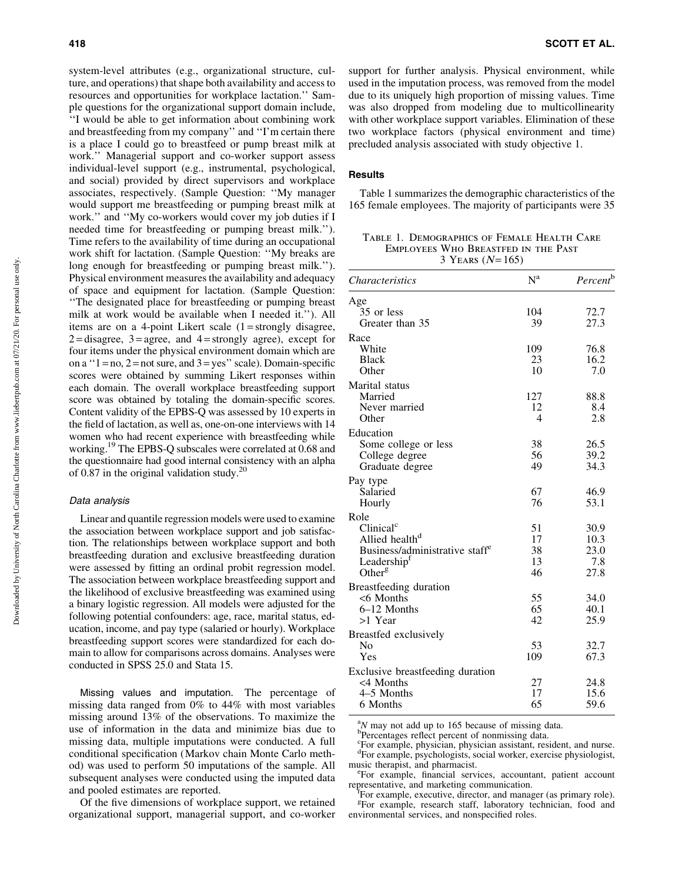system-level attributes (e.g., organizational structure, culture, and operations) that shape both availability and access to resources and opportunities for workplace lactation.'' Sample questions for the organizational support domain include, ''I would be able to get information about combining work and breastfeeding from my company'' and ''I'm certain there is a place I could go to breastfeed or pump breast milk at work.'' Managerial support and co-worker support assess individual-level support (e.g., instrumental, psychological, and social) provided by direct supervisors and workplace associates, respectively. (Sample Question: ''My manager would support me breastfeeding or pumping breast milk at work.'' and ''My co-workers would cover my job duties if I needed time for breastfeeding or pumping breast milk.''). Time refers to the availability of time during an occupational work shift for lactation. (Sample Question: ''My breaks are long enough for breastfeeding or pumping breast milk.''). Physical environment measures the availability and adequacy of space and equipment for lactation. (Sample Question: ''The designated place for breastfeeding or pumping breast milk at work would be available when I needed it.''). All items are on a 4-point Likert scale  $(1 =$ strongly disagree,  $2 =$  disagree,  $3 =$  agree, and  $4 =$  strongly agree), except for four items under the physical environment domain which are on a  $1 = no$ ,  $2 = not$  sure, and  $3 = yes$  scale). Domain-specific scores were obtained by summing Likert responses within each domain. The overall workplace breastfeeding support score was obtained by totaling the domain-specific scores. Content validity of the EPBS-Q was assessed by 10 experts in the field of lactation, as well as, one-on-one interviews with 14 women who had recent experience with breastfeeding while working.19 The EPBS-Q subscales were correlated at 0.68 and the questionnaire had good internal consistency with an alpha of 0.87 in the original validation study.<sup>20</sup>

## Data analysis

Linear and quantile regression models were used to examine the association between workplace support and job satisfaction. The relationships between workplace support and both breastfeeding duration and exclusive breastfeeding duration were assessed by fitting an ordinal probit regression model. The association between workplace breastfeeding support and the likelihood of exclusive breastfeeding was examined using a binary logistic regression. All models were adjusted for the following potential confounders: age, race, marital status, education, income, and pay type (salaried or hourly). Workplace breastfeeding support scores were standardized for each domain to allow for comparisons across domains. Analyses were conducted in SPSS 25.0 and Stata 15.

Missing values and imputation. The percentage of missing data ranged from 0% to 44% with most variables missing around 13% of the observations. To maximize the use of information in the data and minimize bias due to missing data, multiple imputations were conducted. A full conditional specification (Markov chain Monte Carlo method) was used to perform 50 imputations of the sample. All subsequent analyses were conducted using the imputed data and pooled estimates are reported.

Of the five dimensions of workplace support, we retained organizational support, managerial support, and co-worker support for further analysis. Physical environment, while used in the imputation process, was removed from the model due to its uniquely high proportion of missing values. Time was also dropped from modeling due to multicollinearity with other workplace support variables. Elimination of these two workplace factors (physical environment and time) precluded analysis associated with study objective 1.

#### **Results**

Table 1 summarizes the demographic characteristics of the 165 female employees. The majority of participants were 35

Table 1. Demographics of Female Health Care Employees Who Breastfed in the Past 3 YEARS  $(N = 165)$ 

| <i>Characteristics</i>                     | $N^a$ | Percent <sup>b</sup> |
|--------------------------------------------|-------|----------------------|
| Age                                        |       |                      |
| 35 or less                                 | 104   | 72.7                 |
| Greater than 35                            | 39    | 27.3                 |
| Race                                       |       |                      |
| White                                      | 109   | 76.8                 |
| <b>Black</b>                               | 23    | 16.2                 |
| Other                                      | 10    | 7.0                  |
| Marital status                             |       |                      |
| Married                                    | 127   | 88.8                 |
| Never married                              | 12    | 8.4                  |
| Other                                      | 4     | 2.8                  |
| Education                                  |       |                      |
| Some college or less                       | 38    | 26.5                 |
| College degree                             | 56    | 39.2                 |
| Graduate degree                            | 49    | 34.3                 |
| Pay type                                   |       |                      |
| Salaried                                   | 67    | 46.9                 |
| Hourly                                     | 76    | 53.1                 |
| Role                                       |       |                      |
| Clinical <sup>c</sup>                      | 51    | 30.9                 |
| Allied health <sup>d</sup>                 | 17    | 10.3                 |
| Business/administrative staff <sup>e</sup> | 38    | 23.0                 |
| Leadership <sup>f</sup>                    | 13    | 7.8                  |
| Other <sup>g</sup>                         | 46    | 27.8                 |
| Breastfeeding duration                     |       |                      |
| $< 6$ Months                               | 55    | 34.0                 |
| 6-12 Months                                | 65    | 40.1                 |
| >1 Year                                    | 42    | 25.9                 |
| Breastfed exclusively                      |       |                      |
| No                                         | 53    | 32.7                 |
| Yes                                        | 109   | 67.3                 |
| Exclusive breastfeeding duration           |       |                      |
| <4 Months                                  | 27    | 24.8                 |
| 4–5 Months                                 | 17    | 15.6                 |
| 6 Months                                   | 65    | 59.6                 |

 $^{a}_{b}$ M may not add up to 165 because of missing data.

<sup>b</sup>Percentages reflect percent of nonmissing data.

c For example, physician, physician assistant, resident, and nurse. d For example, psychologists, social worker, exercise physiologist, music therapist, and pharmacist.

For example, financial services, accountant, patient account representative, and marketing communication.

For example, executive, director, and manager (as primary role). <sup>g</sup>For example, research staff, laboratory technician, food and environmental services, and nonspecified roles.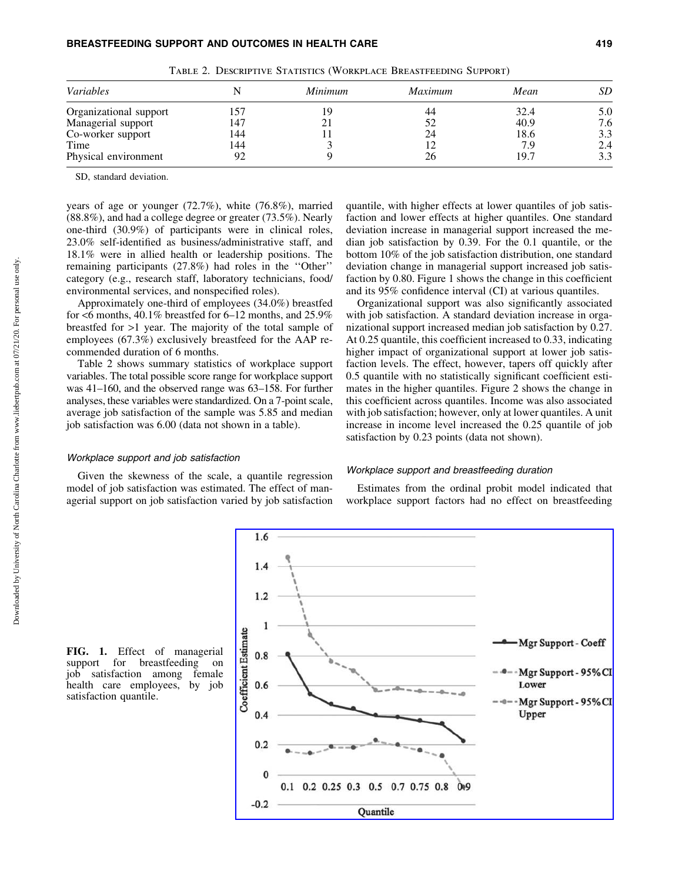Table 2. Descriptive Statistics (Workplace Breastfeeding Support)

SD, standard deviation.

years of age or younger (72.7%), white (76.8%), married (88.8%), and had a college degree or greater (73.5%). Nearly one-third (30.9%) of participants were in clinical roles, 23.0% self-identified as business/administrative staff, and 18.1% were in allied health or leadership positions. The remaining participants (27.8%) had roles in the ''Other'' category (e.g., research staff, laboratory technicians, food/ environmental services, and nonspecified roles).

Approximately one-third of employees (34.0%) breastfed for <6 months, 40.1% breastfed for 6–12 months, and 25.9% breastfed for >1 year. The majority of the total sample of employees (67.3%) exclusively breastfeed for the AAP recommended duration of 6 months.

Table 2 shows summary statistics of workplace support variables. The total possible score range for workplace support was 41–160, and the observed range was 63–158. For further analyses, these variables were standardized. On a 7-point scale, average job satisfaction of the sample was 5.85 and median job satisfaction was 6.00 (data not shown in a table).

#### Workplace support and job satisfaction

Given the skewness of the scale, a quantile regression model of job satisfaction was estimated. The effect of managerial support on job satisfaction varied by job satisfaction quantile, with higher effects at lower quantiles of job satisfaction and lower effects at higher quantiles. One standard deviation increase in managerial support increased the median job satisfaction by 0.39. For the 0.1 quantile, or the bottom 10% of the job satisfaction distribution, one standard deviation change in managerial support increased job satisfaction by 0.80. Figure 1 shows the change in this coefficient and its 95% confidence interval (CI) at various quantiles.

Organizational support was also significantly associated with job satisfaction. A standard deviation increase in organizational support increased median job satisfaction by 0.27. At 0.25 quantile, this coefficient increased to 0.33, indicating higher impact of organizational support at lower job satisfaction levels. The effect, however, tapers off quickly after 0.5 quantile with no statistically significant coefficient estimates in the higher quantiles. Figure 2 shows the change in this coefficient across quantiles. Income was also associated with job satisfaction; however, only at lower quantiles. A unit increase in income level increased the 0.25 quantile of job satisfaction by 0.23 points (data not shown).

## Workplace support and breastfeeding duration

Estimates from the ordinal probit model indicated that workplace support factors had no effect on breastfeeding

FIG. 1. Effect of managerial support for breastfeeding on job satisfaction among female health care employees, by job satisfaction quantile.

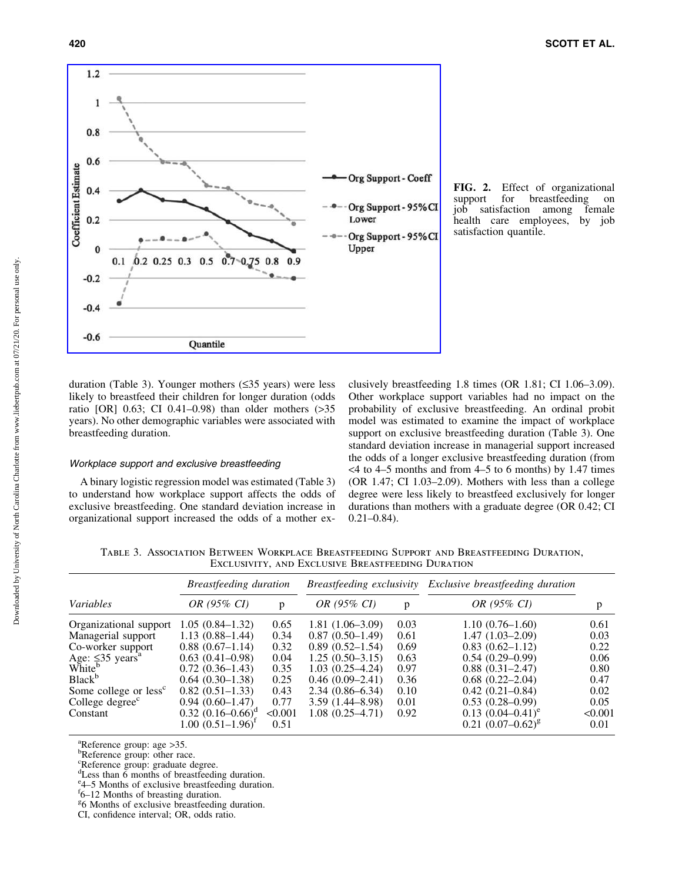

FIG. 2. Effect of organizational support for breastfeeding on for breastfeeding on job satisfaction among female health care employees, by job satisfaction quantile.

duration (Table 3). Younger mothers  $(\leq 35$  years) were less likely to breastfeed their children for longer duration (odds ratio [OR] 0.63; CI 0.41–0.98) than older mothers (>35 years). No other demographic variables were associated with breastfeeding duration.

#### Workplace support and exclusive breastfeeding

A binary logistic regression model was estimated (Table 3) to understand how workplace support affects the odds of exclusive breastfeeding. One standard deviation increase in organizational support increased the odds of a mother exclusively breastfeeding 1.8 times (OR 1.81; CI 1.06–3.09). Other workplace support variables had no impact on the probability of exclusive breastfeeding. An ordinal probit model was estimated to examine the impact of workplace support on exclusive breastfeeding duration (Table 3). One standard deviation increase in managerial support increased the odds of a longer exclusive breastfeeding duration (from  $<$  4 to 4–5 months and from 4–5 to 6 months) by 1.47 times (OR 1.47; CI 1.03–2.09). Mothers with less than a college degree were less likely to breastfeed exclusively for longer durations than mothers with a graduate degree (OR 0.42; CI 0.21–0.84).

Table 3. Association Between Workplace Breastfeeding Support and Breastfeeding Duration, EXCLUSIVITY, AND EXCLUSIVE BREASTFEEDING DURATION

|                                   | Breastfeeding duration |         |                     |      | Breastfeeding exclusivity Exclusive breastfeeding duration |         |
|-----------------------------------|------------------------|---------|---------------------|------|------------------------------------------------------------|---------|
| Variables                         | OR (95% CI)            | p       | OR (95% CI)         | p    | OR (95% CI)                                                | p       |
| Organizational support            | $1.05(0.84 - 1.32)$    | 0.65    | $1.81(1.06-3.09)$   | 0.03 | $1.10(0.76-1.60)$                                          | 0.61    |
| Managerial support                | $1.13(0.88 - 1.44)$    | 0.34    | $0.87(0.50-1.49)$   | 0.61 | $1.47(1.03-2.09)$                                          | 0.03    |
| Co-worker support                 | $0.88(0.67-1.14)$      | 0.32    | $0.89(0.52 - 1.54)$ | 0.69 | $0.83(0.62 - 1.12)$                                        | 0.22    |
| Age: $\leq$ 35 years <sup>a</sup> | $0.63(0.41-0.98)$      | 0.04    | $1.25(0.50-3.15)$   | 0.63 | $0.54(0.29-0.99)$                                          | 0.06    |
| White <sup>b</sup>                | $0.72(0.36-1.43)$      | 0.35    | $1.03(0.25-4.24)$   | 0.97 | $0.88(0.31 - 2.47)$                                        | 0.80    |
| Black <sup>b</sup>                | $0.64(0.30-1.38)$      | 0.25    | $0.46(0.09-2.41)$   | 0.36 | $0.68(0.22 - 2.04)$                                        | 0.47    |
| Some college or less <sup>c</sup> | $0.82(0.51-1.33)$      | 0.43    | $2.34(0.86 - 6.34)$ | 0.10 | $0.42(0.21 - 0.84)$                                        | 0.02    |
| College degree <sup>c</sup>       | $0.94(0.60-1.47)$      | 0.77    | $3.59(1.44 - 8.98)$ | 0.01 | $0.53(0.28-0.99)$                                          | 0.05    |
| Constant                          | $0.32$ $(0.16-0.66)^d$ | < 0.001 | $1.08(0.25-4.71)$   | 0.92 | $0.13$ $(0.04-0.41)^e$                                     | < 0.001 |
|                                   | $1.00~(0.51–1.96)^{1}$ | 0.51    |                     |      | $0.21 (0.07 - 0.62)^g$                                     | 0.01    |

<sup>a</sup>Reference group: age > 35.

**PReference** group: other race.

c Reference group: graduate degree.

<sup>d</sup>Less than 6 months of breastfeeding duration.

<sup>e</sup><sub>4</sub>–5 Months of exclusive breastfeeding duration.

 $\frac{g}{6}$  Months of exclusive breastfeeding duration.

f 6–12 Months of breasting duration.

CI, confidence interval; OR, odds ratio.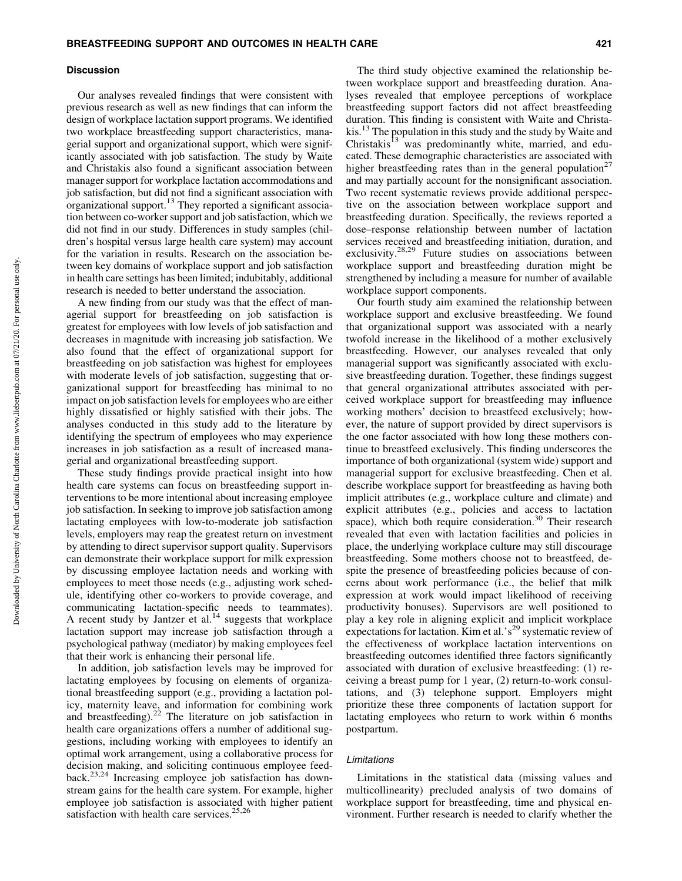#### **Discussion**

Our analyses revealed findings that were consistent with previous research as well as new findings that can inform the design of workplace lactation support programs. We identified two workplace breastfeeding support characteristics, managerial support and organizational support, which were significantly associated with job satisfaction. The study by Waite and Christakis also found a significant association between manager support for workplace lactation accommodations and job satisfaction, but did not find a significant association with organizational support. $13$  They reported a significant association between co-worker support and job satisfaction, which we did not find in our study. Differences in study samples (children's hospital versus large health care system) may account for the variation in results. Research on the association between key domains of workplace support and job satisfaction in health care settings has been limited; indubitably, additional research is needed to better understand the association.

A new finding from our study was that the effect of managerial support for breastfeeding on job satisfaction is greatest for employees with low levels of job satisfaction and decreases in magnitude with increasing job satisfaction. We also found that the effect of organizational support for breastfeeding on job satisfaction was highest for employees with moderate levels of job satisfaction, suggesting that organizational support for breastfeeding has minimal to no impact on job satisfaction levels for employees who are either highly dissatisfied or highly satisfied with their jobs. The analyses conducted in this study add to the literature by identifying the spectrum of employees who may experience increases in job satisfaction as a result of increased managerial and organizational breastfeeding support.

These study findings provide practical insight into how health care systems can focus on breastfeeding support interventions to be more intentional about increasing employee job satisfaction. In seeking to improve job satisfaction among lactating employees with low-to-moderate job satisfaction levels, employers may reap the greatest return on investment by attending to direct supervisor support quality. Supervisors can demonstrate their workplace support for milk expression by discussing employee lactation needs and working with employees to meet those needs (e.g., adjusting work schedule, identifying other co-workers to provide coverage, and communicating lactation-specific needs to teammates). A recent study by Jantzer et al.<sup>14</sup> suggests that workplace lactation support may increase job satisfaction through a psychological pathway (mediator) by making employees feel that their work is enhancing their personal life.

In addition, job satisfaction levels may be improved for lactating employees by focusing on elements of organizational breastfeeding support (e.g., providing a lactation policy, maternity leave, and information for combining work and breastfeeding). $22$  The literature on job satisfaction in health care organizations offers a number of additional suggestions, including working with employees to identify an optimal work arrangement, using a collaborative process for decision making, and soliciting continuous employee feedback.23,24 Increasing employee job satisfaction has downstream gains for the health care system. For example, higher employee job satisfaction is associated with higher patient satisfaction with health care services. $25,26$ 

The third study objective examined the relationship between workplace support and breastfeeding duration. Analyses revealed that employee perceptions of workplace breastfeeding support factors did not affect breastfeeding duration. This finding is consistent with Waite and Christakis.<sup>13</sup> The population in this study and the study by Waite and Christakis<sup>13</sup> was predominantly white, married, and educated. These demographic characteristics are associated with higher breastfeeding rates than in the general population<sup>27</sup> and may partially account for the nonsignificant association. Two recent systematic reviews provide additional perspective on the association between workplace support and breastfeeding duration. Specifically, the reviews reported a dose–response relationship between number of lactation services received and breastfeeding initiation, duration, and exclusivity.<sup>28,29</sup> Future studies on associations between workplace support and breastfeeding duration might be strengthened by including a measure for number of available workplace support components.

Our fourth study aim examined the relationship between workplace support and exclusive breastfeeding. We found that organizational support was associated with a nearly twofold increase in the likelihood of a mother exclusively breastfeeding. However, our analyses revealed that only managerial support was significantly associated with exclusive breastfeeding duration. Together, these findings suggest that general organizational attributes associated with perceived workplace support for breastfeeding may influence working mothers' decision to breastfeed exclusively; however, the nature of support provided by direct supervisors is the one factor associated with how long these mothers continue to breastfeed exclusively. This finding underscores the importance of both organizational (system wide) support and managerial support for exclusive breastfeeding. Chen et al. describe workplace support for breastfeeding as having both implicit attributes (e.g., workplace culture and climate) and explicit attributes (e.g., policies and access to lactation space), which both require consideration.<sup>30</sup> Their research revealed that even with lactation facilities and policies in place, the underlying workplace culture may still discourage breastfeeding. Some mothers choose not to breastfeed, despite the presence of breastfeeding policies because of concerns about work performance (i.e., the belief that milk expression at work would impact likelihood of receiving productivity bonuses). Supervisors are well positioned to play a key role in aligning explicit and implicit workplace expectations for lactation. Kim et al.'s<sup>29</sup> systematic review of the effectiveness of workplace lactation interventions on breastfeeding outcomes identified three factors significantly associated with duration of exclusive breastfeeding: (1) receiving a breast pump for 1 year, (2) return-to-work consultations, and (3) telephone support. Employers might prioritize these three components of lactation support for lactating employees who return to work within 6 months postpartum.

#### Limitations

Limitations in the statistical data (missing values and multicollinearity) precluded analysis of two domains of workplace support for breastfeeding, time and physical environment. Further research is needed to clarify whether the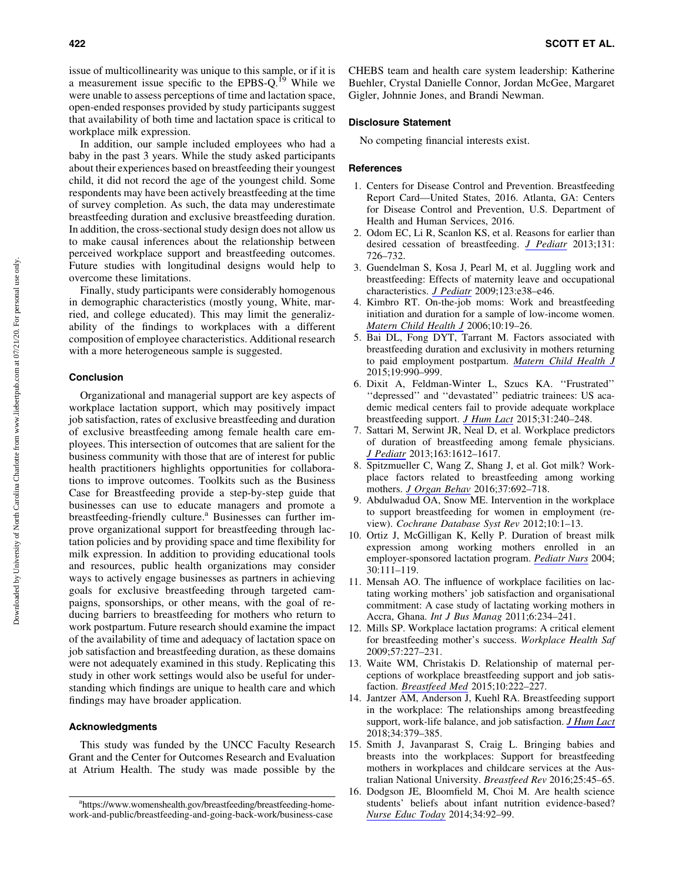issue of multicollinearity was unique to this sample, or if it is a measurement issue specific to the EPBS-Q.<sup>19</sup> While we were unable to assess perceptions of time and lactation space, open-ended responses provided by study participants suggest that availability of both time and lactation space is critical to workplace milk expression.

In addition, our sample included employees who had a baby in the past 3 years. While the study asked participants about their experiences based on breastfeeding their youngest child, it did not record the age of the youngest child. Some respondents may have been actively breastfeeding at the time of survey completion. As such, the data may underestimate breastfeeding duration and exclusive breastfeeding duration. In addition, the cross-sectional study design does not allow us to make causal inferences about the relationship between perceived workplace support and breastfeeding outcomes. Future studies with longitudinal designs would help to overcome these limitations.

Finally, study participants were considerably homogenous in demographic characteristics (mostly young, White, married, and college educated). This may limit the generalizability of the findings to workplaces with a different composition of employee characteristics. Additional research with a more heterogeneous sample is suggested.

#### Conclusion

Organizational and managerial support are key aspects of workplace lactation support, which may positively impact job satisfaction, rates of exclusive breastfeeding and duration of exclusive breastfeeding among female health care employees. This intersection of outcomes that are salient for the business community with those that are of interest for public health practitioners highlights opportunities for collaborations to improve outcomes. Toolkits such as the Business Case for Breastfeeding provide a step-by-step guide that businesses can use to educate managers and promote a breastfeeding-friendly culture.<sup>a</sup> Businesses can further improve organizational support for breastfeeding through lactation policies and by providing space and time flexibility for milk expression. In addition to providing educational tools and resources, public health organizations may consider ways to actively engage businesses as partners in achieving goals for exclusive breastfeeding through targeted campaigns, sponsorships, or other means, with the goal of reducing barriers to breastfeeding for mothers who return to work postpartum. Future research should examine the impact of the availability of time and adequacy of lactation space on job satisfaction and breastfeeding duration, as these domains were not adequately examined in this study. Replicating this study in other work settings would also be useful for understanding which findings are unique to health care and which findings may have broader application.

### Acknowledgments

This study was funded by the UNCC Faculty Research Grant and the Center for Outcomes Research and Evaluation at Atrium Health. The study was made possible by the

CHEBS team and health care system leadership: Katherine Buehler, Crystal Danielle Connor, Jordan McGee, Margaret Gigler, Johnnie Jones, and Brandi Newman.

#### Disclosure Statement

No competing financial interests exist.

#### References

- 1. Centers for Disease Control and Prevention. Breastfeeding Report Card—United States, 2016. Atlanta, GA: Centers for Disease Control and Prevention, U.S. Department of Health and Human Services, 2016.
- 2. Odom EC, Li R, Scanlon KS, et al. Reasons for earlier than desired cessation of breastfeeding. *[J Pediatr](https://www.liebertpub.com/action/showLinks?crossref=10.1542%2Fpeds.2012-1295&citationId=p_18)* 2013;131: 726–732.
- 3. Guendelman S, Kosa J, Pearl M, et al. Juggling work and breastfeeding: Effects of maternity leave and occupational characteristics. *[J Pediatr](https://www.liebertpub.com/action/showLinks?crossref=10.1542%2Fpeds.2008-2244&citationId=p_19)* 2009;123:e38–e46.
- 4. Kimbro RT. On-the-job moms: Work and breastfeeding initiation and duration for a sample of low-income women. *[Matern Child Health J](https://www.liebertpub.com/action/showLinks?pmid=16521055&crossref=10.1007%2Fs10995-005-0058-7&citationId=p_20)* 2006;10:19–26.
- 5. Bai DL, Fong DYT, Tarrant M. Factors associated with breastfeeding duration and exclusivity in mothers returning to paid employment postpartum. *[Matern Child Health J](https://www.liebertpub.com/action/showLinks?pmid=25095769&crossref=10.1007%2Fs10995-014-1596-7&citationId=p_21)* 2015;19:990–999.
- 6. Dixit A, Feldman-Winter L, Szucs KA. ''Frustrated'' ''depressed'' and ''devastated'' pediatric trainees: US academic medical centers fail to provide adequate workplace breastfeeding support. *[J Hum Lact](https://www.liebertpub.com/action/showLinks?pmid=25588382&crossref=10.1177%2F0890334414568119&citationId=p_22)* 2015;31:240–248.
- 7. Sattari M, Serwint JR, Neal D, et al. Workplace predictors of duration of breastfeeding among female physicians. *[J Pediatr](https://www.liebertpub.com/action/showLinks?pmid=24011764&crossref=10.1016%2Fj.jpeds.2013.07.026&citationId=p_23)* 2013;163:1612–1617.
- 8. Spitzmueller C, Wang Z, Shang J, et al. Got milk? Workplace factors related to breastfeeding among working mothers. *[J Organ Behav](https://www.liebertpub.com/action/showLinks?crossref=10.1002%2Fjob.2061&citationId=p_24)* 2016;37:692–718.
- 9. Abdulwadud OA, Snow ME. Intervention in the workplace to support breastfeeding for women in employment (review). *Cochrane Database Syst Rev* 2012;10:1–13.
- 10. Ortiz J, McGilligan K, Kelly P. Duration of breast milk expression among working mothers enrolled in an employer-sponsored lactation program. *[Pediatr Nurs](https://www.liebertpub.com/action/showLinks?pmid=15185732&crossref=10.1016%2Fj.pediatrneurol.2003.07.004&citationId=p_26)* 2004; 30:111–119.
- 11. Mensah AO. The influence of workplace facilities on lactating working mothers' job satisfaction and organisational commitment: A case study of lactating working mothers in Accra, Ghana. *Int J Bus Manag* 2011;6:234–241.
- 12. Mills SP. Workplace lactation programs: A critical element for breastfeeding mother's success. *Workplace Health Saf* 2009;57:227–231.
- 13. Waite WM, Christakis D. Relationship of maternal perceptions of workplace breastfeeding support and job satisfaction. *[Breastfeed Med](https://www.liebertpub.com/action/showLinks?system=10.1089%2Fbfm.2014.0151&citationId=p_29)* 2015;10:222–227.
- 14. Jantzer AM, Anderson J, Kuehl RA. Breastfeeding support in the workplace: The relationships among breastfeeding support, work-life balance, and job satisfaction. *[J Hum Lact](https://www.liebertpub.com/action/showLinks?pmid=28609215&crossref=10.1177%2F0890334417707956&citationId=p_30)* 2018;34:379–385.
- 15. Smith J, Javanparast S, Craig L. Bringing babies and breasts into the workplaces: Support for breastfeeding mothers in workplaces and childcare services at the Australian National University. *Breastfeed Rev* 2016;25:45–65.
- 16. Dodgson JE, Bloomfield M, Choi M. Are health science students' beliefs about infant nutrition evidence-based? *[Nurse Educ Today](https://www.liebertpub.com/action/showLinks?pmid=23537940&crossref=10.1016%2Fj.nedt.2013.02.015&citationId=p_32)* 2014;34:92–99.

a[https://www.womenshealth.gov/breastfeeding/breastfeeding-home](https://www.womenshealth.gov/breastfeeding/breastfeeding-home-work-and-public/breastfeeding-and-going-back-work/business-case)[work-and-public/breastfeeding-and-going-back-work/business-case](https://www.womenshealth.gov/breastfeeding/breastfeeding-home-work-and-public/breastfeeding-and-going-back-work/business-case)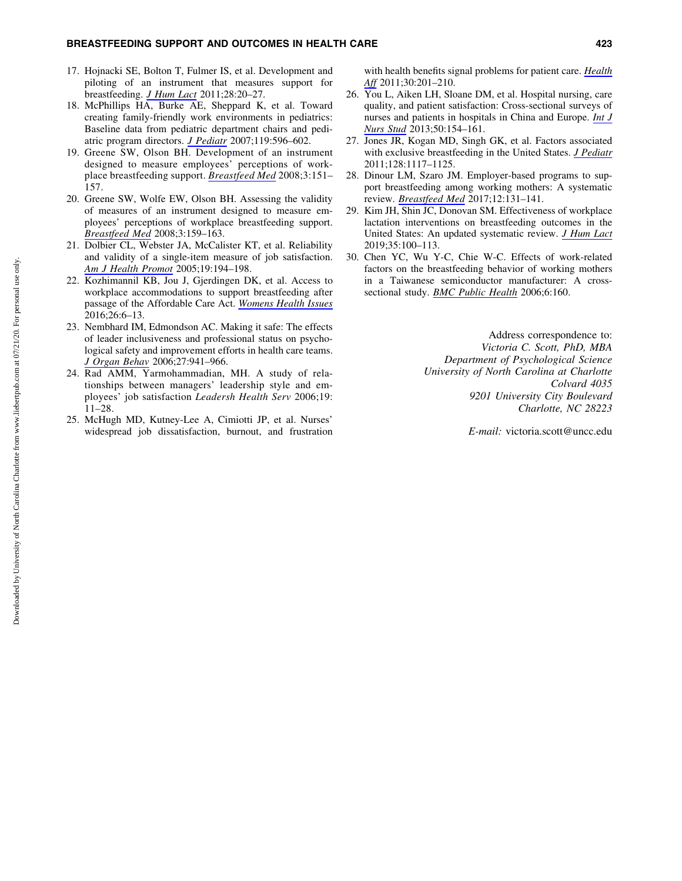- 17. Hojnacki SE, Bolton T, Fulmer IS, et al. Development and piloting of an instrument that measures support for breastfeeding. *[J Hum Lact](https://www.liebertpub.com/action/showLinks?crossref=10.1177%2F0890334411430666&citationId=p_33)* 2011;28:20–27.
- 18. McPhillips HA, Burke AE, Sheppard K, et al. Toward creating family-friendly work environments in pediatrics: Baseline data from pediatric department chairs and pediatric program directors. *[J Pediatr](https://www.liebertpub.com/action/showLinks?crossref=10.1542%2Fpeds.2006-2397&citationId=p_34)* 2007;119:596–602.
- 19. Greene SW, Olson BH. Development of an instrument designed to measure employees' perceptions of workplace breastfeeding support. *[Breastfeed Med](https://www.liebertpub.com/action/showLinks?system=10.1089%2Fbfm.2008.0103&citationId=p_35)* 2008;3:151– 157.
- 20. Greene SW, Wolfe EW, Olson BH. Assessing the validity of measures of an instrument designed to measure employees' perceptions of workplace breastfeeding support. *[Breastfeed Med](https://www.liebertpub.com/action/showLinks?system=10.1089%2Fbfm.2007.0029&citationId=p_36)* 2008;3:159–163.
- 21. Dolbier CL, Webster JA, McCalister KT, et al. Reliability and validity of a single-item measure of job satisfaction. *[Am J Health Promot](https://www.liebertpub.com/action/showLinks?pmid=15693347&crossref=10.4278%2F0890-1171-19.3.194&citationId=p_37)* 2005;19:194–198.
- 22. Kozhimannil KB, Jou J, Gjerdingen DK, et al. Access to workplace accommodations to support breastfeeding after passage of the Affordable Care Act. *[Womens Health Issues](https://www.liebertpub.com/action/showLinks?pmid=26474955&crossref=10.1016%2Fj.whi.2015.08.002&citationId=p_38)* 2016;26:6–13.
- 23. Nembhard IM, Edmondson AC. Making it safe: The effects of leader inclusiveness and professional status on psychological safety and improvement efforts in health care teams. *[J Organ Behav](https://www.liebertpub.com/action/showLinks?crossref=10.1002%2Fjob.413&citationId=p_39)* 2006;27:941–966.
- 24. Rad AMM, Yarmohammadian, MH. A study of relationships between managers' leadership style and employees' job satisfaction *Leadersh Health Serv* 2006;19: 11–28.
- 25. McHugh MD, Kutney-Lee A, Cimiotti JP, et al. Nurses' widespread job dissatisfaction, burnout, and frustration

with health benefits signal problems for patient care. *[Health](https://www.liebertpub.com/action/showLinks?crossref=10.1377%2Fhlthaff.2010.0100&citationId=p_41) [Aff](https://www.liebertpub.com/action/showLinks?crossref=10.1377%2Fhlthaff.2010.0100&citationId=p_41)* 2011;30:201–210.

- 26. You L, Aiken LH, Sloane DM, et al. Hospital nursing, care quality, and patient satisfaction: Cross-sectional surveys of nurses and patients in hospitals in China and Europe. *[Int J](https://www.liebertpub.com/action/showLinks?pmid=22658468&crossref=10.1016%2Fj.ijnurstu.2012.05.003&citationId=p_42) [Nurs Stud](https://www.liebertpub.com/action/showLinks?pmid=22658468&crossref=10.1016%2Fj.ijnurstu.2012.05.003&citationId=p_42)* 2013;50:154–161.
- 27. Jones JR, Kogan MD, Singh GK, et al. Factors associated with exclusive breastfeeding in the United States. *[J Pediatr](https://www.liebertpub.com/action/showLinks?crossref=10.1542%2Fpeds.2011-0841&citationId=p_43)* 2011;128:1117–1125.
- 28. Dinour LM, Szaro JM. Employer-based programs to support breastfeeding among working mothers: A systematic review. *[Breastfeed Med](https://www.liebertpub.com/action/showLinks?system=10.1089%2Fbfm.2016.0182&citationId=p_44)* 2017;12:131–141.
- 29. Kim JH, Shin JC, Donovan SM. Effectiveness of workplace lactation interventions on breastfeeding outcomes in the United States: An updated systematic review. *[J Hum Lact](https://www.liebertpub.com/action/showLinks?pmid=29928834&crossref=10.1177%2F0890334418765464&citationId=p_45)* 2019;35:100–113.
- 30. Chen YC, Wu Y-C, Chie W-C. Effects of work-related factors on the breastfeeding behavior of working mothers in a Taiwanese semiconductor manufacturer: A crosssectional study. *[BMC Public Health](https://www.liebertpub.com/action/showLinks?pmid=16787546&crossref=10.1186%2F1471-2458-6-160&citationId=p_46)* 2006;6:160.

Address correspondence to: *Victoria C. Scott, PhD, MBA Department of Psychological Science University of North Carolina at Charlotte Colvard 4035 9201 University City Boulevard Charlotte, NC 28223*

*E-mail:* victoria.scott@uncc.edu